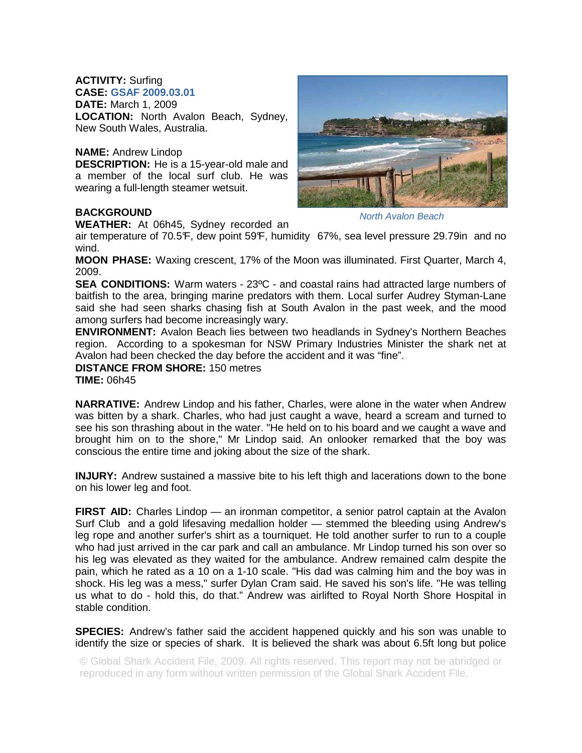# **ACTIVITY:** Surfing

**CASE: GSAF 2009.03.01**

**DATE:** March 1, 2009

**LOCATION:** North Avalon Beach, Sydney, New South Wales, Australia.

# **NAME:** Andrew Lindop

**DESCRIPTION:** He is a 15-year-old male and a member of the local surf club. He was wearing a full-length steamer wetsuit.

# **BACKGROUND**

**WEATHER:** At 06h45, Sydney recorded an

North Avalon Beach

air temperature of 70.5°F, dew point 59°F, humidity 67%, sea level pressure 29.79in and no wind.

**MOON PHASE:** Waxing crescent, 17% of the Moon was illuminated. First Quarter, March 4, 2009.

**SEA CONDITIONS:** Warm waters - 23ºC - and coastal rains had attracted large numbers of baitfish to the area, bringing marine predators with them. Local surfer Audrey Styman-Lane said she had seen sharks chasing fish at South Avalon in the past week, and the mood among surfers had become increasingly wary.

**ENVIRONMENT:** Avalon Beach lies between two headlands in Sydney's Northern Beaches region. According to a spokesman for NSW Primary Industries Minister the shark net at Avalon had been checked the day before the accident and it was "fine".

**DISTANCE FROM SHORE:** 150 metres

**TIME:** 06h45

**NARRATIVE:** Andrew Lindop and his father, Charles, were alone in the water when Andrew was bitten by a shark. Charles, who had just caught a wave, heard a scream and turned to see his son thrashing about in the water. "He held on to his board and we caught a wave and brought him on to the shore," Mr Lindop said. An onlooker remarked that the boy was conscious the entire time and joking about the size of the shark.

**INJURY:** Andrew sustained a massive bite to his left thigh and lacerations down to the bone on his lower leg and foot.

FIRST AID: Charles Lindop — an ironman competitor, a senior patrol captain at the Avalon Surf Club and a gold lifesaving medallion holder — stemmed the bleeding using Andrew's leg rope and another surfer's shirt as a tourniquet. He told another surfer to run to a couple who had just arrived in the car park and call an ambulance. Mr Lindop turned his son over so his leg was elevated as they waited for the ambulance. Andrew remained calm despite the pain, which he rated as a 10 on a 1-10 scale. "His dad was calming him and the boy was in shock. His leg was a mess," surfer Dylan Cram said. He saved his son's life. "He was telling us what to do - hold this, do that." Andrew was airlifted to Royal North Shore Hospital in stable condition.

**SPECIES:** Andrew's father said the accident happened quickly and his son was unable to identify the size or species of shark. It is believed the shark was about 6.5ft long but police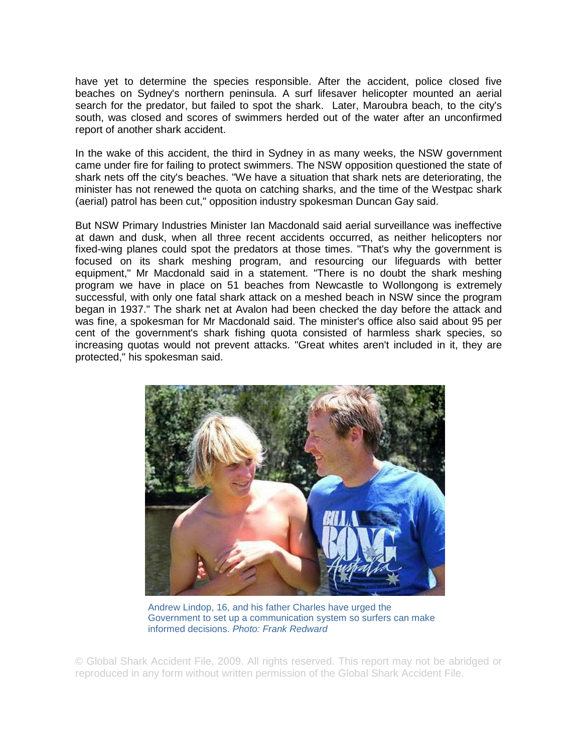have yet to determine the species responsible. After the accident, police closed five beaches on Sydney's northern peninsula. A surf lifesaver helicopter mounted an aerial search for the predator, but failed to spot the shark. Later, Maroubra beach, to the city's south, was closed and scores of swimmers herded out of the water after an unconfirmed report of another shark accident.

In the wake of this accident, the third in Sydney in as many weeks, the NSW government came under fire for failing to protect swimmers. The NSW opposition questioned the state of shark nets off the city's beaches. "We have a situation that shark nets are deteriorating, the minister has not renewed the quota on catching sharks, and the time of the Westpac shark (aerial) patrol has been cut," opposition industry spokesman Duncan Gay said.

But NSW Primary Industries Minister Ian Macdonald said aerial surveillance was ineffective at dawn and dusk, when all three recent accidents occurred, as neither helicopters nor fixed-wing planes could spot the predators at those times. "That's why the government is focused on its shark meshing program, and resourcing our lifeguards with better equipment," Mr Macdonald said in a statement. "There is no doubt the shark meshing program we have in place on 51 beaches from Newcastle to Wollongong is extremely successful, with only one fatal shark attack on a meshed beach in NSW since the program began in 1937." The shark net at Avalon had been checked the day before the attack and was fine, a spokesman for Mr Macdonald said. The minister's office also said about 95 per cent of the government's shark fishing quota consisted of harmless shark species, so increasing quotas would not prevent attacks. "Great whites aren't included in it, they are protected," his spokesman said.



Andrew Lindop, 16, and his father Charles have urged the Government to set up a communication system so surfers can make informed decisions. Photo: Frank Redward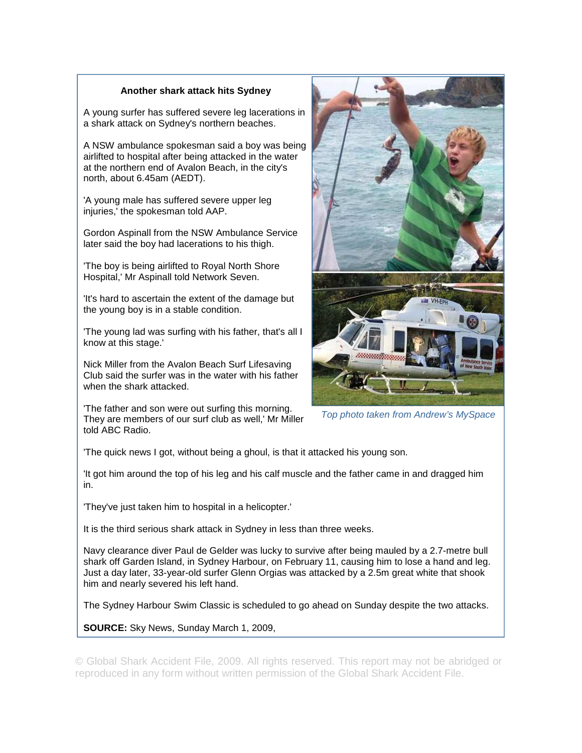## **Another shark attack hits Sydney**

A young surfer has suffered severe leg lacerations in a shark attack on Sydney's northern beaches.

A NSW ambulance spokesman said a boy was being airlifted to hospital after being attacked in the water at the northern end of Avalon Beach, in the city's north, about 6.45am (AEDT).

'A young male has suffered severe upper leg injuries,' the spokesman told AAP.

Gordon Aspinall from the NSW Ambulance Service later said the boy had lacerations to his thigh.

'The boy is being airlifted to Royal North Shore Hospital,' Mr Aspinall told Network Seven.

'It's hard to ascertain the extent of the damage but the young boy is in a stable condition.

'The young lad was surfing with his father, that's all I know at this stage.'

Nick Miller from the Avalon Beach Surf Lifesaving Club said the surfer was in the water with his father when the shark attacked.

'The father and son were out surfing this morning. They are members of our surf club as well,' Mr Miller told ABC Radio.



Top photo taken from Andrew's MySpace

'The quick news I got, without being a ghoul, is that it attacked his young son.

'It got him around the top of his leg and his calf muscle and the father came in and dragged him in.

'They've just taken him to hospital in a helicopter.'

It is the third serious shark attack in Sydney in less than three weeks.

Navy clearance diver Paul de Gelder was lucky to survive after being mauled by a 2.7-metre bull shark off Garden Island, in Sydney Harbour, on February 11, causing him to lose a hand and leg. Just a day later, 33-year-old surfer Glenn Orgias was attacked by a 2.5m great white that shook him and nearly severed his left hand.

The Sydney Harbour Swim Classic is scheduled to go ahead on Sunday despite the two attacks.

**SOURCE:** Sky News, Sunday March 1, 2009,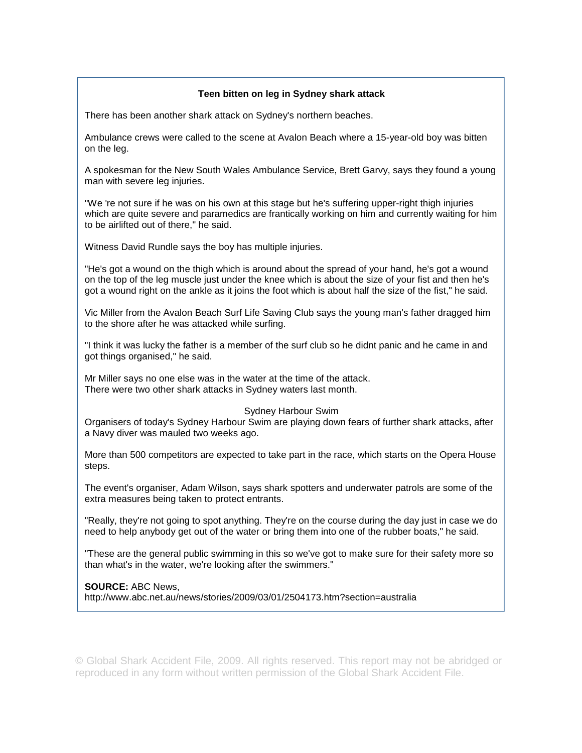## **Teen bitten on leg in Sydney shark attack**

There has been another shark attack on Sydney's northern beaches.

Ambulance crews were called to the scene at Avalon Beach where a 15-year-old boy was bitten on the leg.

A spokesman for the New South Wales Ambulance Service, Brett Garvy, says they found a young man with severe leg injuries.

"We 're not sure if he was on his own at this stage but he's suffering upper-right thigh injuries which are quite severe and paramedics are frantically working on him and currently waiting for him to be airlifted out of there," he said.

Witness David Rundle says the boy has multiple injuries.

"He's got a wound on the thigh which is around about the spread of your hand, he's got a wound on the top of the leg muscle just under the knee which is about the size of your fist and then he's got a wound right on the ankle as it joins the foot which is about half the size of the fist," he said.

Vic Miller from the Avalon Beach Surf Life Saving Club says the young man's father dragged him to the shore after he was attacked while surfing.

"I think it was lucky the father is a member of the surf club so he didnt panic and he came in and got things organised," he said.

Mr Miller says no one else was in the water at the time of the attack. There were two other shark attacks in Sydney waters last month.

### Sydney Harbour Swim

Organisers of today's Sydney Harbour Swim are playing down fears of further shark attacks, after a Navy diver was mauled two weeks ago.

More than 500 competitors are expected to take part in the race, which starts on the Opera House steps.

The event's organiser, Adam Wilson, says shark spotters and underwater patrols are some of the extra measures being taken to protect entrants.

"Really, they're not going to spot anything. They're on the course during the day just in case we do need to help anybody get out of the water or bring them into one of the rubber boats," he said.

"These are the general public swimming in this so we've got to make sure for their safety more so than what's in the water, we're looking after the swimmers."

**SOURCE:** ABC News,

http://www.abc.net.au/news/stories/2009/03/01/2504173.htm?section=australia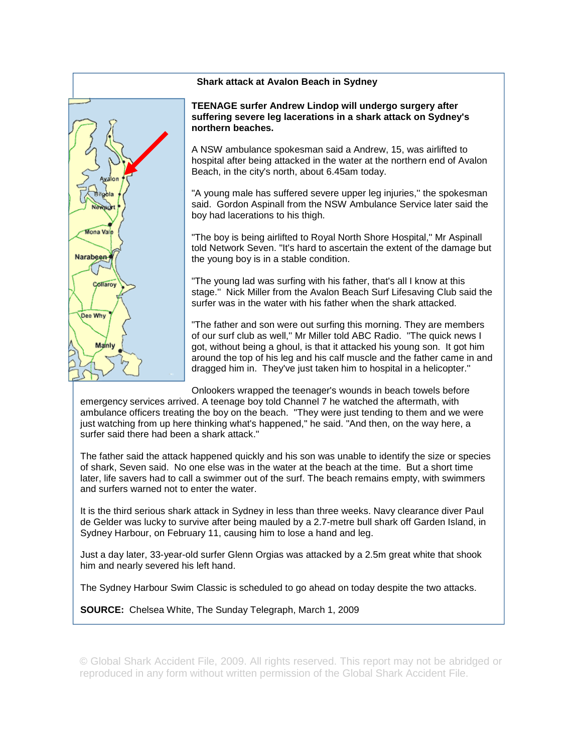

## **Shark attack at Avalon Beach in Sydney**

**TEENAGE surfer Andrew Lindop will undergo surgery after suffering severe leg lacerations in a shark attack on Sydney's northern beaches.** 

A NSW ambulance spokesman said a Andrew, 15, was airlifted to hospital after being attacked in the water at the northern end of Avalon Beach, in the city's north, about 6.45am today.

"A young male has suffered severe upper leg injuries,'' the spokesman said. Gordon Aspinall from the NSW Ambulance Service later said the boy had lacerations to his thigh.

"The boy is being airlifted to Royal North Shore Hospital,'' Mr Aspinall told Network Seven. "It's hard to ascertain the extent of the damage but the young boy is in a stable condition.

"The young lad was surfing with his father, that's all I know at this stage.'' Nick Miller from the Avalon Beach Surf Lifesaving Club said the surfer was in the water with his father when the shark attacked.

"The father and son were out surfing this morning. They are members of our surf club as well,'' Mr Miller told ABC Radio. "The quick news I got, without being a ghoul, is that it attacked his young son. It got him around the top of his leg and his calf muscle and the father came in and dragged him in. They've just taken him to hospital in a helicopter.''

Onlookers wrapped the teenager's wounds in beach towels before

emergency services arrived. A teenage boy told Channel 7 he watched the aftermath, with ambulance officers treating the boy on the beach. "They were just tending to them and we were just watching from up here thinking what's happened," he said. "And then, on the way here, a surfer said there had been a shark attack."

The father said the attack happened quickly and his son was unable to identify the size or species of shark, Seven said. No one else was in the water at the beach at the time. But a short time later, life savers had to call a swimmer out of the surf. The beach remains empty, with swimmers and surfers warned not to enter the water.

It is the third serious shark attack in Sydney in less than three weeks. Navy clearance diver Paul de Gelder was lucky to survive after being mauled by a 2.7-metre bull shark off Garden Island, in Sydney Harbour, on February 11, causing him to lose a hand and leg.

Just a day later, 33-year-old surfer Glenn Orgias was attacked by a 2.5m great white that shook him and nearly severed his left hand.

The Sydney Harbour Swim Classic is scheduled to go ahead on today despite the two attacks.

**SOURCE:** Chelsea White, The Sunday Telegraph, March 1, 2009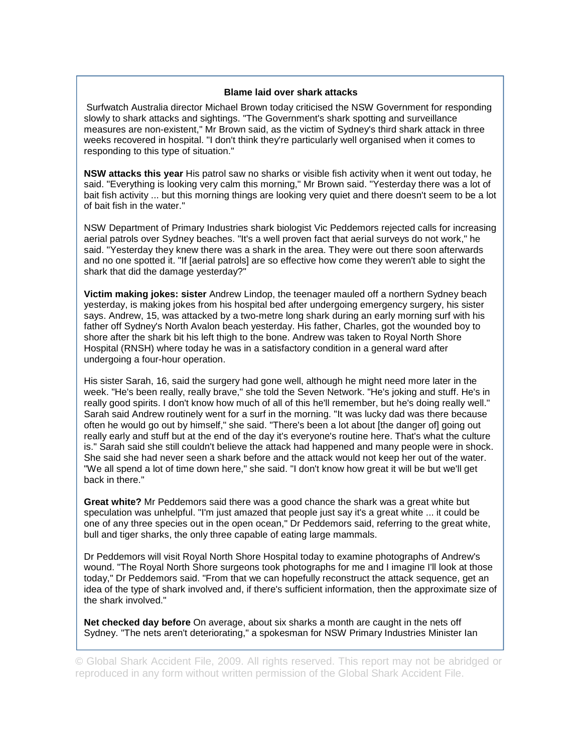### **Blame laid over shark attacks**

Surfwatch Australia director Michael Brown today criticised the NSW Government for responding slowly to shark attacks and sightings. "The Government's shark spotting and surveillance measures are non-existent," Mr Brown said, as the victim of Sydney's third shark attack in three weeks recovered in hospital. "I don't think they're particularly well organised when it comes to responding to this type of situation."

**NSW attacks this year** His patrol saw no sharks or visible fish activity when it went out today, he said. "Everything is looking very calm this morning," Mr Brown said. "Yesterday there was a lot of bait fish activity ... but this morning things are looking very quiet and there doesn't seem to be a lot of bait fish in the water."

NSW Department of Primary Industries shark biologist Vic Peddemors rejected calls for increasing aerial patrols over Sydney beaches. "It's a well proven fact that aerial surveys do not work," he said. "Yesterday they knew there was a shark in the area. They were out there soon afterwards and no one spotted it. "If [aerial patrols] are so effective how come they weren't able to sight the shark that did the damage yesterday?"

**Victim making jokes: sister** Andrew Lindop, the teenager mauled off a northern Sydney beach yesterday, is making jokes from his hospital bed after undergoing emergency surgery, his sister says. Andrew, 15, was attacked by a two-metre long shark during an early morning surf with his father off Sydney's North Avalon beach yesterday. His father, Charles, got the wounded boy to shore after the shark bit his left thigh to the bone. Andrew was taken to Royal North Shore Hospital (RNSH) where today he was in a satisfactory condition in a general ward after undergoing a four-hour operation.

His sister Sarah, 16, said the surgery had gone well, although he might need more later in the week. "He's been really, really brave," she told the Seven Network. "He's joking and stuff. He's in really good spirits. I don't know how much of all of this he'll remember, but he's doing really well." Sarah said Andrew routinely went for a surf in the morning. "It was lucky dad was there because often he would go out by himself," she said. "There's been a lot about [the danger of] going out really early and stuff but at the end of the day it's everyone's routine here. That's what the culture is." Sarah said she still couldn't believe the attack had happened and many people were in shock. She said she had never seen a shark before and the attack would not keep her out of the water. "We all spend a lot of time down here," she said. "I don't know how great it will be but we'll get back in there."

**Great white?** Mr Peddemors said there was a good chance the shark was a great white but speculation was unhelpful. "I'm just amazed that people just say it's a great white ... it could be one of any three species out in the open ocean," Dr Peddemors said, referring to the great white, bull and tiger sharks, the only three capable of eating large mammals.

Dr Peddemors will visit Royal North Shore Hospital today to examine photographs of Andrew's wound. "The Royal North Shore surgeons took photographs for me and I imagine I'll look at those today," Dr Peddemors said. "From that we can hopefully reconstruct the attack sequence, get an idea of the type of shark involved and, if there's sufficient information, then the approximate size of the shark involved."

**Net checked day before** On average, about six sharks a month are caught in the nets off Sydney. "The nets aren't deteriorating," a spokesman for NSW Primary Industries Minister Ian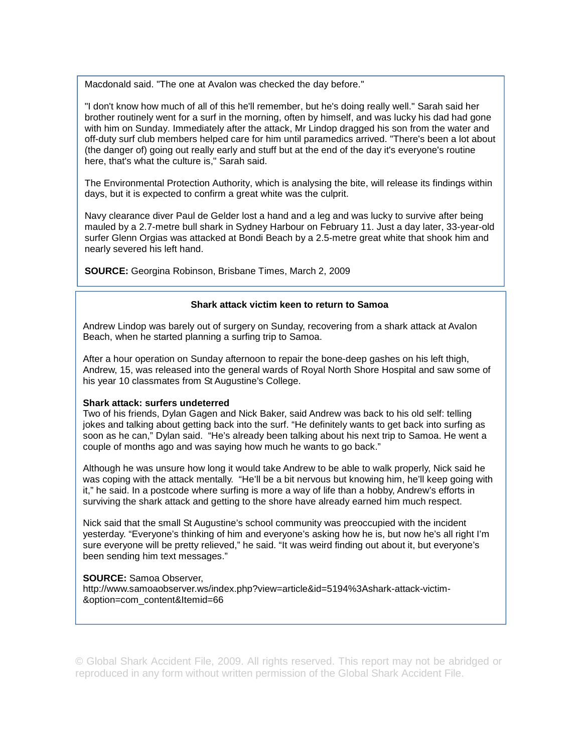Macdonald said. "The one at Avalon was checked the day before."

"I don't know how much of all of this he'll remember, but he's doing really well." Sarah said her brother routinely went for a surf in the morning, often by himself, and was lucky his dad had gone with him on Sunday. Immediately after the attack, Mr Lindop dragged his son from the water and off-duty surf club members helped care for him until paramedics arrived. "There's been a lot about (the danger of) going out really early and stuff but at the end of the day it's everyone's routine here, that's what the culture is," Sarah said.

The Environmental Protection Authority, which is analysing the bite, will release its findings within days, but it is expected to confirm a great white was the culprit.

Navy clearance diver Paul de Gelder lost a hand and a leg and was lucky to survive after being mauled by a 2.7-metre bull shark in Sydney Harbour on February 11. Just a day later, 33-year-old surfer Glenn Orgias was attacked at Bondi Beach by a 2.5-metre great white that shook him and nearly severed his left hand.

**SOURCE:** Georgina Robinson, Brisbane Times, March 2, 2009

#### **Shark attack victim keen to return to Samoa**

Andrew Lindop was barely out of surgery on Sunday, recovering from a shark attack at Avalon Beach, when he started planning a surfing trip to Samoa.

After a hour operation on Sunday afternoon to repair the bone-deep gashes on his left thigh, Andrew, 15, was released into the general wards of Royal North Shore Hospital and saw some of his year 10 classmates from St Augustine's College.

#### **Shark attack: surfers undeterred**

Two of his friends, Dylan Gagen and Nick Baker, said Andrew was back to his old self: telling jokes and talking about getting back into the surf. "He definitely wants to get back into surfing as soon as he can," Dylan said. "He's already been talking about his next trip to Samoa. He went a couple of months ago and was saying how much he wants to go back."

Although he was unsure how long it would take Andrew to be able to walk properly, Nick said he was coping with the attack mentally. "He'll be a bit nervous but knowing him, he'll keep going with it," he said. In a postcode where surfing is more a way of life than a hobby, Andrew's efforts in surviving the shark attack and getting to the shore have already earned him much respect.

Nick said that the small St Augustine's school community was preoccupied with the incident yesterday. "Everyone's thinking of him and everyone's asking how he is, but now he's all right I'm sure everyone will be pretty relieved," he said. "It was weird finding out about it, but everyone's been sending him text messages."

#### **SOURCE:** Samoa Observer,

http://www.samoaobserver.ws/index.php?view=article&id=5194%3Ashark-attack-victim- &option=com\_content&Itemid=66